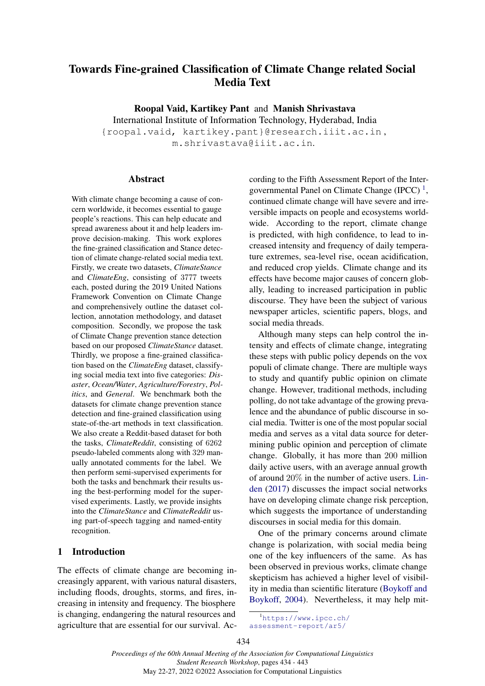# Towards Fine-grained Classification of Climate Change related Social Media Text

Roopal Vaid, Kartikey Pant and Manish Shrivastava International Institute of Information Technology, Hyderabad, India {roopal.vaid, kartikey.pant}@research.iiit.ac.in , m.shrivastava@iiit.ac.in.

#### **Abstract**

With climate change becoming a cause of concern worldwide, it becomes essential to gauge people's reactions. This can help educate and spread awareness about it and help leaders improve decision-making. This work explores the fine-grained classification and Stance detection of climate change-related social media text. Firstly, we create two datasets, *ClimateStance* and *ClimateEng*, consisting of 3777 tweets each, posted during the 2019 United Nations Framework Convention on Climate Change and comprehensively outline the dataset collection, annotation methodology, and dataset composition. Secondly, we propose the task of Climate Change prevention stance detection based on our proposed *ClimateStance* dataset. Thirdly, we propose a fine-grained classification based on the *ClimateEng* dataset, classifying social media text into five categories: *Disaster*, *Ocean/Water*, *Agriculture/Forestry*, *Politics*, and *General*. We benchmark both the datasets for climate change prevention stance detection and fine-grained classification using state-of-the-art methods in text classification. We also create a Reddit-based dataset for both the tasks, *ClimateReddit*, consisting of 6262 pseudo-labeled comments along with 329 manually annotated comments for the label. We then perform semi-supervised experiments for both the tasks and benchmark their results using the best-performing model for the supervised experiments. Lastly, we provide insights into the *ClimateStance* and *ClimateReddit* using part-of-speech tagging and named-entity recognition.

# 1 Introduction

The effects of climate change are becoming increasingly apparent, with various natural disasters, including floods, droughts, storms, and fires, increasing in intensity and frequency. The biosphere is changing, endangering the natural resources and agriculture that are essential for our survival. According to the Fifth Assessment Report of the Intergovernmental Panel on Climate Change  $(IPCC)^1$  $(IPCC)^1$ , continued climate change will have severe and irreversible impacts on people and ecosystems worldwide. According to the report, climate change is predicted, with high confidence, to lead to increased intensity and frequency of daily temperature extremes, sea-level rise, ocean acidification, and reduced crop yields. Climate change and its effects have become major causes of concern globally, leading to increased participation in public discourse. They have been the subject of various newspaper articles, scientific papers, blogs, and social media threads.

Although many steps can help control the intensity and effects of climate change, integrating these steps with public policy depends on the vox populi of climate change. There are multiple ways to study and quantify public opinion on climate change. However, traditional methods, including polling, do not take advantage of the growing prevalence and the abundance of public discourse in social media. Twitter is one of the most popular social media and serves as a vital data source for determining public opinion and perception of climate change. Globally, it has more than 200 million daily active users, with an average annual growth of around 20% in the number of active users. [Lin](#page-8-0)[den](#page-8-0) [\(2017\)](#page-8-0) discusses the impact social networks have on developing climate change risk perception, which suggests the importance of understanding discourses in social media for this domain.

One of the primary concerns around climate change is polarization, with social media being one of the key influencers of the same. As has been observed in previous works, climate change skepticism has achieved a higher level of visibility in media than scientific literature [\(Boykoff and](#page-8-1) [Boykoff,](#page-8-1) [2004\)](#page-8-1). Nevertheless, it may help mit-

<span id="page-0-0"></span><sup>1</sup>[https://www.ipcc.ch/](https://www.ipcc.ch/assessment-report/ar5/) [assessment-report/ar5/](https://www.ipcc.ch/assessment-report/ar5/)

<sup>434</sup>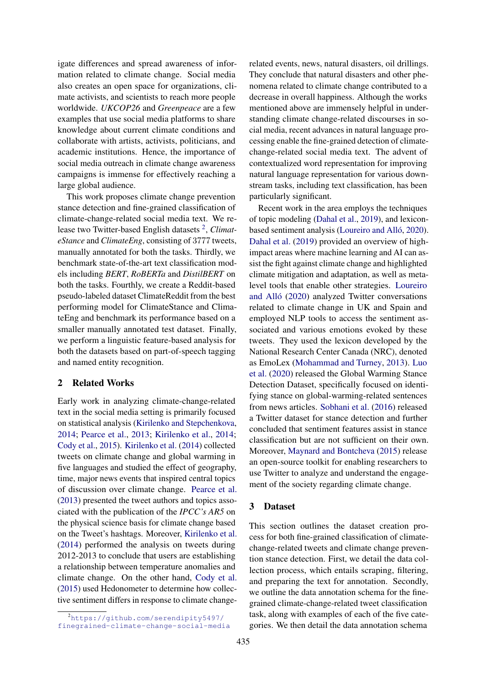igate differences and spread awareness of information related to climate change. Social media also creates an open space for organizations, climate activists, and scientists to reach more people worldwide. *UKCOP26* and *Greenpeace* are a few examples that use social media platforms to share knowledge about current climate conditions and collaborate with artists, activists, politicians, and academic institutions. Hence, the importance of social media outreach in climate change awareness campaigns is immense for effectively reaching a large global audience.

This work proposes climate change prevention stance detection and fine-grained classification of climate-change-related social media text. We re-lease two Twitter-based English datasets<sup>[2](#page-1-0)</sup>, Climat*eStance* and *ClimateEng*, consisting of 3777 tweets, manually annotated for both the tasks. Thirdly, we benchmark state-of-the-art text classification models including *BERT*, *RoBERTa* and *DistilBERT* on both the tasks. Fourthly, we create a Reddit-based pseudo-labeled dataset ClimateReddit from the best performing model for ClimateStance and ClimateEng and benchmark its performance based on a smaller manually annotated test dataset. Finally, we perform a linguistic feature-based analysis for both the datasets based on part-of-speech tagging and named entity recognition.

# 2 Related Works

Early work in analyzing climate-change-related text in the social media setting is primarily focused on statistical analysis [\(Kirilenko and Stepchenkova,](#page-8-2) [2014;](#page-8-2) [Pearce et al.,](#page-9-0) [2013;](#page-9-0) [Kirilenko et al.,](#page-8-3) [2014;](#page-8-3) [Cody et al.,](#page-8-4) [2015\)](#page-8-4). [Kirilenko et al.](#page-8-3) [\(2014\)](#page-8-3) collected tweets on climate change and global warming in five languages and studied the effect of geography, time, major news events that inspired central topics of discussion over climate change. [Pearce et al.](#page-9-0) [\(2013\)](#page-9-0) presented the tweet authors and topics associated with the publication of the *IPCC's AR5* on the physical science basis for climate change based on the Tweet's hashtags. Moreover, [Kirilenko et al.](#page-8-3) [\(2014\)](#page-8-3) performed the analysis on tweets during 2012-2013 to conclude that users are establishing a relationship between temperature anomalies and climate change. On the other hand, [Cody et al.](#page-8-4) [\(2015\)](#page-8-4) used Hedonometer to determine how collective sentiment differs in response to climate changerelated events, news, natural disasters, oil drillings. They conclude that natural disasters and other phenomena related to climate change contributed to a decrease in overall happiness. Although the works mentioned above are immensely helpful in understanding climate change-related discourses in social media, recent advances in natural language processing enable the fine-grained detection of climatechange-related social media text. The advent of contextualized word representation for improving natural language representation for various downstream tasks, including text classification, has been particularly significant.

Recent work in the area employs the techniques of topic modeling [\(Dahal et al.,](#page-8-5) [2019\)](#page-8-5), and lexiconbased sentiment analysis [\(Loureiro and Alló,](#page-9-1) [2020\)](#page-9-1). [Dahal et al.](#page-8-5) [\(2019\)](#page-8-5) provided an overview of highimpact areas where machine learning and AI can assist the fight against climate change and highlighted climate mitigation and adaptation, as well as metalevel tools that enable other strategies. [Loureiro](#page-9-1) [and Alló](#page-9-1) [\(2020\)](#page-9-1) analyzed Twitter conversations related to climate change in UK and Spain and employed NLP tools to access the sentiment associated and various emotions evoked by these tweets. They used the lexicon developed by the National Research Center Canada (NRC), denoted as EmoLex [\(Mohammad and Turney,](#page-9-2) [2013\)](#page-9-2). [Luo](#page-9-3) [et al.](#page-9-3) [\(2020\)](#page-9-3) released the Global Warming Stance Detection Dataset, specifically focused on identifying stance on global-warming-related sentences from news articles. [Sobhani et al.](#page-9-4) [\(2016\)](#page-9-4) released a Twitter dataset for stance detection and further concluded that sentiment features assist in stance classification but are not sufficient on their own. Moreover, [Maynard and Bontcheva](#page-9-5) [\(2015\)](#page-9-5) release an open-source toolkit for enabling researchers to use Twitter to analyze and understand the engagement of the society regarding climate change.

# 3 Dataset

This section outlines the dataset creation process for both fine-grained classification of climatechange-related tweets and climate change prevention stance detection. First, we detail the data collection process, which entails scraping, filtering, and preparing the text for annotation. Secondly, we outline the data annotation schema for the finegrained climate-change-related tweet classification task, along with examples of each of the five categories. We then detail the data annotation schema

<span id="page-1-0"></span><sup>2</sup>[https://github.com/serendipity5497/](https://github.com/serendipity5497/finegrained-climate-change-social-media) [finegrained-climate-change-social-media](https://github.com/serendipity5497/finegrained-climate-change-social-media)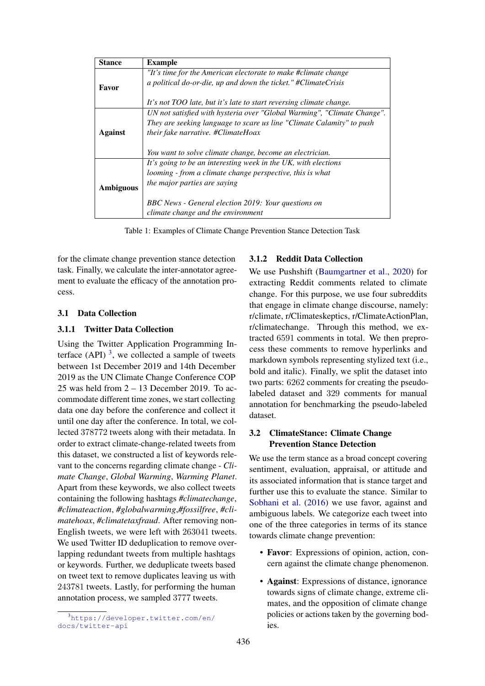| <b>Stance</b>    | <b>Example</b>                                                          |
|------------------|-------------------------------------------------------------------------|
|                  | "It's time for the American electorate to make #climate change          |
| Favor            | a political do-or-die, up and down the ticket." #ClimateCrisis          |
|                  |                                                                         |
|                  | It's not TOO late, but it's late to start reversing climate change.     |
|                  | UN not satisfied with hysteria over "Global Warming", "Climate Change". |
|                  | They are seeking language to scare us line "Climate Calamity" to push   |
| Against          | their fake narrative. #ClimateHoax                                      |
|                  |                                                                         |
|                  | You want to solve climate change, become an electrician.                |
|                  | It's going to be an interesting week in the UK, with elections          |
|                  | looming - from a climate change perspective, this is what               |
|                  | the major parties are saying                                            |
| <b>Ambiguous</b> |                                                                         |
|                  | BBC News - General election 2019: Your questions on                     |
|                  | climate change and the environment                                      |

Table 1: Examples of Climate Change Prevention Stance Detection Task

for the climate change prevention stance detection task. Finally, we calculate the inter-annotator agreement to evaluate the efficacy of the annotation process.

#### 3.1 Data Collection

### 3.1.1 Twitter Data Collection

Using the Twitter Application Programming In-terface (API)<sup>[3](#page-2-0)</sup>, we collected a sample of tweets between 1st December 2019 and 14th December 2019 as the UN Climate Change Conference COP 25 was held from 2 – 13 December 2019. To accommodate different time zones, we start collecting data one day before the conference and collect it until one day after the conference. In total, we collected 378772 tweets along with their metadata. In order to extract climate-change-related tweets from this dataset, we constructed a list of keywords relevant to the concerns regarding climate change - *Climate Change*, *Global Warming*, *Warming Planet*. Apart from these keywords, we also collect tweets containing the following hashtags *#climatechange*, *#climateaction*, *#globalwarming*,*#fossilfree*, *#climatehoax*, *#climatetaxfraud*. After removing non-English tweets, we were left with 263041 tweets. We used Twitter ID deduplication to remove overlapping redundant tweets from multiple hashtags or keywords. Further, we deduplicate tweets based on tweet text to remove duplicates leaving us with 243781 tweets. Lastly, for performing the human annotation process, we sampled 3777 tweets.

#### 3.1.2 Reddit Data Collection

We use Pushshift [\(Baumgartner et al.,](#page-8-6) [2020\)](#page-8-6) for extracting Reddit comments related to climate change. For this purpose, we use four subreddits that engage in climate change discourse, namely: r/climate, r/Climateskeptics, r/ClimateActionPlan, r/climatechange. Through this method, we extracted 6591 comments in total. We then preprocess these comments to remove hyperlinks and markdown symbols representing stylized text (i.e., bold and italic). Finally, we split the dataset into two parts: 6262 comments for creating the pseudolabeled dataset and 329 comments for manual annotation for benchmarking the pseudo-labeled dataset.

# 3.2 ClimateStance: Climate Change Prevention Stance Detection

We use the term stance as a broad concept covering sentiment, evaluation, appraisal, or attitude and its associated information that is stance target and further use this to evaluate the stance. Similar to [Sobhani et al.](#page-9-4) [\(2016\)](#page-9-4) we use favor, against and ambiguous labels. We categorize each tweet into one of the three categories in terms of its stance towards climate change prevention:

- Favor: Expressions of opinion, action, concern against the climate change phenomenon.
- Against: Expressions of distance, ignorance towards signs of climate change, extreme climates, and the opposition of climate change policies or actions taken by the governing bodies.

<span id="page-2-0"></span><sup>3</sup>[https://developer.twitter.com/en/](https://developer.twitter.com/en/docs/twitter-api) [docs/twitter-api](https://developer.twitter.com/en/docs/twitter-api)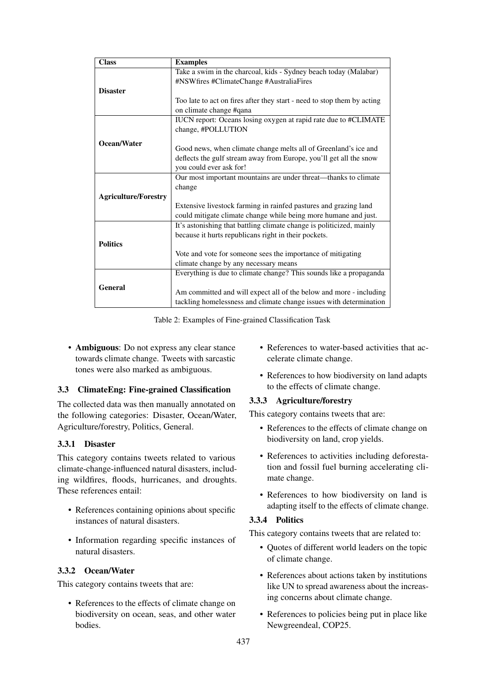| <b>Class</b>                | <b>Examples</b>                                                         |
|-----------------------------|-------------------------------------------------------------------------|
|                             | Take a swim in the charcoal, kids - Sydney beach today (Malabar)        |
|                             | #NSWfires #ClimateChange #AustraliaFires                                |
| <b>Disaster</b>             |                                                                         |
|                             | Too late to act on fires after they start - need to stop them by acting |
|                             | on climate change #qana                                                 |
|                             | IUCN report: Oceans losing oxygen at rapid rate due to #CLIMATE         |
|                             | change, #POLLUTION                                                      |
|                             |                                                                         |
| Ocean/Water                 | Good news, when climate change melts all of Greenland's ice and         |
|                             | deflects the gulf stream away from Europe, you'll get all the snow      |
|                             | you could ever ask for!                                                 |
|                             | Our most important mountains are under threat—thanks to climate         |
|                             | change                                                                  |
| <b>Agriculture/Forestry</b> |                                                                         |
|                             | Extensive livestock farming in rainfed pastures and grazing land        |
|                             | could mitigate climate change while being more humane and just.         |
|                             | It's astonishing that battling climate change is politicized, mainly    |
|                             | because it hurts republicans right in their pockets.                    |
| <b>Politics</b>             |                                                                         |
|                             | Vote and vote for someone sees the importance of mitigating             |
|                             | climate change by any necessary means                                   |
|                             | Everything is due to climate change? This sounds like a propaganda      |
| <b>General</b>              |                                                                         |
|                             | Am committed and will expect all of the below and more - including      |
|                             | tackling homelessness and climate change issues with determination      |

Table 2: Examples of Fine-grained Classification Task

• Ambiguous: Do not express any clear stance towards climate change. Tweets with sarcastic tones were also marked as ambiguous.

# 3.3 ClimateEng: Fine-grained Classification

The collected data was then manually annotated on the following categories: Disaster, Ocean/Water, Agriculture/forestry, Politics, General.

# 3.3.1 Disaster

This category contains tweets related to various climate-change-influenced natural disasters, including wildfires, floods, hurricanes, and droughts. These references entail:

- References containing opinions about specific instances of natural disasters.
- Information regarding specific instances of natural disasters.

# 3.3.2 Ocean/Water

This category contains tweets that are:

• References to the effects of climate change on biodiversity on ocean, seas, and other water bodies.

- References to water-based activities that accelerate climate change.
- References to how biodiversity on land adapts to the effects of climate change.

# 3.3.3 Agriculture/forestry

This category contains tweets that are:

- References to the effects of climate change on biodiversity on land, crop yields.
- References to activities including deforestation and fossil fuel burning accelerating climate change.
- References to how biodiversity on land is adapting itself to the effects of climate change.

# 3.3.4 Politics

This category contains tweets that are related to:

- Quotes of different world leaders on the topic of climate change.
- References about actions taken by institutions like UN to spread awareness about the increasing concerns about climate change.
- References to policies being put in place like Newgreendeal, COP25.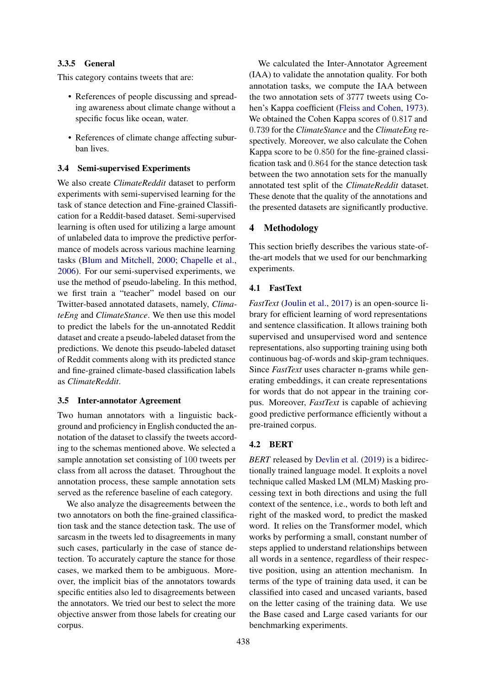# 3.3.5 General

This category contains tweets that are:

- References of people discussing and spreading awareness about climate change without a specific focus like ocean, water.
- References of climate change affecting suburban lives.

### 3.4 Semi-supervised Experiments

We also create *ClimateReddit* dataset to perform experiments with semi-supervised learning for the task of stance detection and Fine-grained Classification for a Reddit-based dataset. Semi-supervised learning is often used for utilizing a large amount of unlabeled data to improve the predictive performance of models across various machine learning tasks [\(Blum and Mitchell,](#page-8-7) [2000;](#page-8-7) [Chapelle et al.,](#page-8-8) [2006\)](#page-8-8). For our semi-supervised experiments, we use the method of pseudo-labeling. In this method, we first train a "teacher" model based on our Twitter-based annotated datasets, namely, *ClimateEng* and *ClimateStance*. We then use this model to predict the labels for the un-annotated Reddit dataset and create a pseudo-labeled dataset from the predictions. We denote this pseudo-labeled dataset of Reddit comments along with its predicted stance and fine-grained climate-based classification labels as *ClimateReddit*.

#### 3.5 Inter-annotator Agreement

Two human annotators with a linguistic background and proficiency in English conducted the annotation of the dataset to classify the tweets according to the schemas mentioned above. We selected a sample annotation set consisting of 100 tweets per class from all across the dataset. Throughout the annotation process, these sample annotation sets served as the reference baseline of each category.

We also analyze the disagreements between the two annotators on both the fine-grained classification task and the stance detection task. The use of sarcasm in the tweets led to disagreements in many such cases, particularly in the case of stance detection. To accurately capture the stance for those cases, we marked them to be ambiguous. Moreover, the implicit bias of the annotators towards specific entities also led to disagreements between the annotators. We tried our best to select the more objective answer from those labels for creating our corpus.

We calculated the Inter-Annotator Agreement (IAA) to validate the annotation quality. For both annotation tasks, we compute the IAA between the two annotation sets of 3777 tweets using Cohen's Kappa coefficient [\(Fleiss and Cohen,](#page-8-9) [1973\)](#page-8-9). We obtained the Cohen Kappa scores of 0.817 and 0.739 for the *ClimateStance* and the *ClimateEng* respectively. Moreover, we also calculate the Cohen Kappa score to be 0.850 for the fine-grained classification task and 0.864 for the stance detection task between the two annotation sets for the manually annotated test split of the *ClimateReddit* dataset. These denote that the quality of the annotations and the presented datasets are significantly productive.

# 4 Methodology

This section briefly describes the various state-ofthe-art models that we used for our benchmarking experiments.

### 4.1 FastText

*FastText* [\(Joulin et al.,](#page-8-10) [2017\)](#page-8-10) is an open-source library for efficient learning of word representations and sentence classification. It allows training both supervised and unsupervised word and sentence representations, also supporting training using both continuous bag-of-words and skip-gram techniques. Since *FastText* uses character n-grams while generating embeddings, it can create representations for words that do not appear in the training corpus. Moreover, *FastText* is capable of achieving good predictive performance efficiently without a pre-trained corpus.

### 4.2 BERT

*BERT* released by [Devlin et al.](#page-8-11) [\(2019\)](#page-8-11) is a bidirectionally trained language model. It exploits a novel technique called Masked LM (MLM) Masking processing text in both directions and using the full context of the sentence, i.e., words to both left and right of the masked word, to predict the masked word. It relies on the Transformer model, which works by performing a small, constant number of steps applied to understand relationships between all words in a sentence, regardless of their respective position, using an attention mechanism. In terms of the type of training data used, it can be classified into cased and uncased variants, based on the letter casing of the training data. We use the Base cased and Large cased variants for our benchmarking experiments.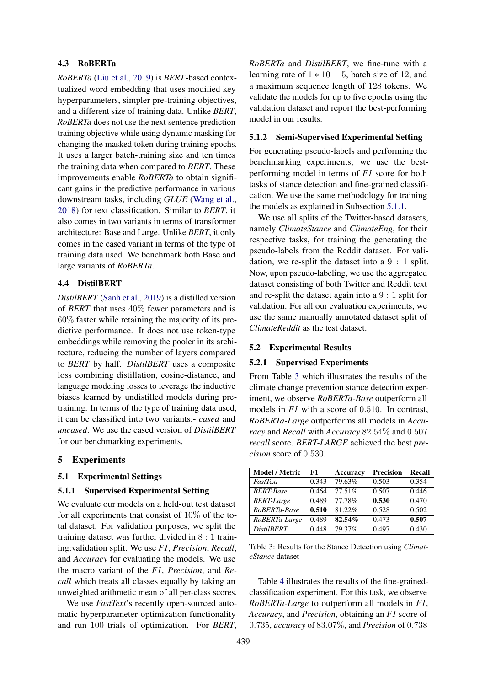#### 4.3 RoBERTa

*RoBERTa* [\(Liu et al.,](#page-9-6) [2019\)](#page-9-6) is *BERT*-based contextualized word embedding that uses modified key hyperparameters, simpler pre-training objectives, and a different size of training data. Unlike *BERT*, *RoBERTa* does not use the next sentence prediction training objective while using dynamic masking for changing the masked token during training epochs. It uses a larger batch-training size and ten times the training data when compared to *BERT*. These improvements enable *RoBERTa* to obtain significant gains in the predictive performance in various downstream tasks, including *GLUE* [\(Wang et al.,](#page-9-7) [2018\)](#page-9-7) for text classification. Similar to *BERT*, it also comes in two variants in terms of transformer architecture: Base and Large. Unlike *BERT*, it only comes in the cased variant in terms of the type of training data used. We benchmark both Base and large variants of *RoBERTa*.

### 4.4 DistilBERT

*DistilBERT* [\(Sanh et al.,](#page-9-8) [2019\)](#page-9-8) is a distilled version of *BERT* that uses 40% fewer parameters and is 60% faster while retaining the majority of its predictive performance. It does not use token-type embeddings while removing the pooler in its architecture, reducing the number of layers compared to *BERT* by half. *DistilBERT* uses a composite loss combining distillation, cosine-distance, and language modeling losses to leverage the inductive biases learned by undistilled models during pretraining. In terms of the type of training data used, it can be classified into two variants:- *cased* and *uncased*. We use the cased version of *DistilBERT* for our benchmarking experiments.

### 5 Experiments

### 5.1 Experimental Settings

#### <span id="page-5-0"></span>5.1.1 Supervised Experimental Setting

We evaluate our models on a held-out test dataset for all experiments that consist of 10% of the total dataset. For validation purposes, we split the training dataset was further divided in 8 : 1 training:validation split. We use *F1*, *Precision*, *Recall*, and *Accuracy* for evaluating the models. We use the macro variant of the *F1*, *Precision*, and *Recall* which treats all classes equally by taking an unweighted arithmetic mean of all per-class scores.

We use *FastText*'s recently open-sourced automatic hyperparameter optimization functionality and run 100 trials of optimization. For *BERT*, *RoBERTa* and *DistilBERT*, we fine-tune with a learning rate of  $1 * 10 - 5$ , batch size of 12, and a maximum sequence length of 128 tokens. We validate the models for up to five epochs using the validation dataset and report the best-performing model in our results.

#### 5.1.2 Semi-Supervised Experimental Setting

For generating pseudo-labels and performing the benchmarking experiments, we use the bestperforming model in terms of *F1* score for both tasks of stance detection and fine-grained classification. We use the same methodology for training the models as explained in Subsection [5.1.1.](#page-5-0)

We use all splits of the Twitter-based datasets, namely *ClimateStance* and *ClimateEng*, for their respective tasks, for training the generating the pseudo-labels from the Reddit dataset. For validation, we re-split the dataset into a 9 : 1 split. Now, upon pseudo-labeling, we use the aggregated dataset consisting of both Twitter and Reddit text and re-split the dataset again into a 9 : 1 split for validation. For all our evaluation experiments, we use the same manually annotated dataset split of *ClimateReddit* as the test dataset.

#### 5.2 Experimental Results

#### 5.2.1 Supervised Experiments

From Table [3](#page-5-1) which illustrates the results of the climate change prevention stance detection experiment, we observe *RoBERTa-Base* outperform all models in *F1* with a score of 0.510. In contrast, *RoBERTa-Large* outperforms all models in *Accuracy* and *Recall* with *Accuracy* 82.54% and 0.507 *recall* score. *BERT-LARGE* achieved the best *precision* score of 0.530.

<span id="page-5-1"></span>

| <b>Model / Metric</b> | F1    | Accuracy | <b>Precision</b> | <b>Recall</b> |
|-----------------------|-------|----------|------------------|---------------|
| FastText              | 0.343 | 79.63%   | 0.503            | 0.354         |
| <b>BERT-Base</b>      | 0.464 | 77.51%   | 0.507            | 0.446         |
| <b>BERT-Large</b>     | 0.489 | 77.78%   | 0.530            | 0.470         |
| RoBERTa-Base          | 0.510 | 81.22%   | 0.528            | 0.502         |
| RoBERTa-Large         | 0.489 | 82.54%   | 0.473            | 0.507         |
| <b>DistilBERT</b>     | 0.448 | 79.37%   | 0.497            | 0.430         |

Table 3: Results for the Stance Detection using *ClimateStance* dataset

Table [4](#page-6-0) illustrates the results of the fine-grainedclassification experiment. For this task, we observe *RoBERTa-Large* to outperform all models in *F1*, *Accuracy*, and *Precision*, obtaining an *F1* score of 0.735, *accuracy* of 83.07%, and *Precision* of 0.738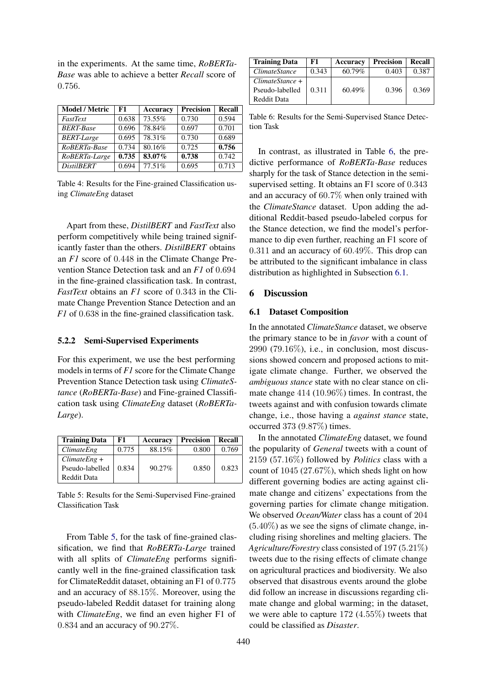in the experiments. At the same time, *RoBERTa-Base* was able to achieve a better *Recall* score of 0.756.

<span id="page-6-0"></span>

| <b>Model / Metric</b> | F1    | Accuracy | <b>Precision</b> | <b>Recall</b> |
|-----------------------|-------|----------|------------------|---------------|
| FastText              | 0.638 | 73.55%   | 0.730            | 0.594         |
| <b>BERT-Base</b>      | 0.696 | 78.84%   | 0.697            | 0.701         |
| <b>BERT-Large</b>     | 0.695 | 78.31%   | 0.730            | 0.689         |
| RoBERTa-Base          | 0.734 | 80.16%   | 0.725            | 0.756         |
| RoBERTa-Large         | 0.735 | 83.07%   | 0.738            | 0.742         |
| <b>DistilBERT</b>     | 0.694 | 77.51%   | 0.695            | 0.713         |

Table 4: Results for the Fine-grained Classification using *ClimateEng* dataset

Apart from these, *DistilBERT* and *FastText* also perform competitively while being trained significantly faster than the others. *DistilBERT* obtains an *F1* score of 0.448 in the Climate Change Prevention Stance Detection task and an *F1* of 0.694 in the fine-grained classification task. In contrast, *FastText* obtains an *F1* score of 0.343 in the Climate Change Prevention Stance Detection and an *F1* of 0.638 in the fine-grained classification task.

#### 5.2.2 Semi-Supervised Experiments

For this experiment, we use the best performing models in terms of *F1* score for the Climate Change Prevention Stance Detection task using *ClimateStance* (*RoBERTa-Base*) and Fine-grained Classification task using *ClimateEng* dataset (*RoBERTa-Large*).

<span id="page-6-1"></span>

| F1    | <b>Accuracy</b> | <b>Precision</b> | Recall |
|-------|-----------------|------------------|--------|
| 0.775 | 88.15%          | 0.800            | 0.769  |
| 0.834 | $90.27\%$       | 0.850            | 0.823  |
|       |                 |                  |        |

Table 5: Results for the Semi-Supervised Fine-grained Classification Task

From Table [5,](#page-6-1) for the task of fine-grained classification, we find that *RoBERTa-Large* trained with all splits of *ClimateEng* performs significantly well in the fine-grained classification task for ClimateReddit dataset, obtaining an F1 of 0.775 and an accuracy of 88.15%. Moreover, using the pseudo-labeled Reddit dataset for training along with *ClimateEng*, we find an even higher F1 of 0.834 and an accuracy of 90.27%.

<span id="page-6-2"></span>

| <b>Training Data</b> | F1    | Accuracy  | <b>Precision</b> | Recall |
|----------------------|-------|-----------|------------------|--------|
| <i>ClimateStance</i> | 0.343 | 60.79%    | 0.403            | 0.387  |
| ClimateShare         |       |           |                  |        |
| Pseudo-labelled      | 0.311 | $60.49\%$ | 0.396            | 0.369  |
| Reddit Data          |       |           |                  |        |

Table 6: Results for the Semi-Supervised Stance Detection Task

In contrast, as illustrated in Table [6,](#page-6-2) the predictive performance of *RoBERTa-Base* reduces sharply for the task of Stance detection in the semisupervised setting. It obtains an F1 score of 0.343 and an accuracy of 60.7% when only trained with the *ClimateStance* dataset. Upon adding the additional Reddit-based pseudo-labeled corpus for the Stance detection, we find the model's performance to dip even further, reaching an F1 score of 0.311 and an accuracy of 60.49%. This drop can be attributed to the significant imbalance in class distribution as highlighted in Subsection [6.1.](#page-6-3)

#### 6 Discussion

#### <span id="page-6-3"></span>6.1 Dataset Composition

In the annotated *ClimateStance* dataset, we observe the primary stance to be in *favor* with a count of 2990 (79.16%), i.e., in conclusion, most discussions showed concern and proposed actions to mitigate climate change. Further, we observed the *ambiguous stance* state with no clear stance on climate change 414 (10.96%) times. In contrast, the tweets against and with confusion towards climate change, i.e., those having a *against stance* state, occurred 373 (9.87%) times.

In the annotated *ClimateEng* dataset, we found the popularity of *General* tweets with a count of 2159 (57.16%) followed by *Politics* class with a count of  $1045 (27.67%)$ , which sheds light on how different governing bodies are acting against climate change and citizens' expectations from the governing parties for climate change mitigation. We observed *Ocean/Water* class has a count of 204  $(5.40\%)$  as we see the signs of climate change, including rising shorelines and melting glaciers. The *Agriculture/Forestry* class consisted of 197 (5.21%) tweets due to the rising effects of climate change on agricultural practices and biodiversity. We also observed that disastrous events around the globe did follow an increase in discussions regarding climate change and global warming; in the dataset, we were able to capture 172 (4.55%) tweets that could be classified as *Disaster*.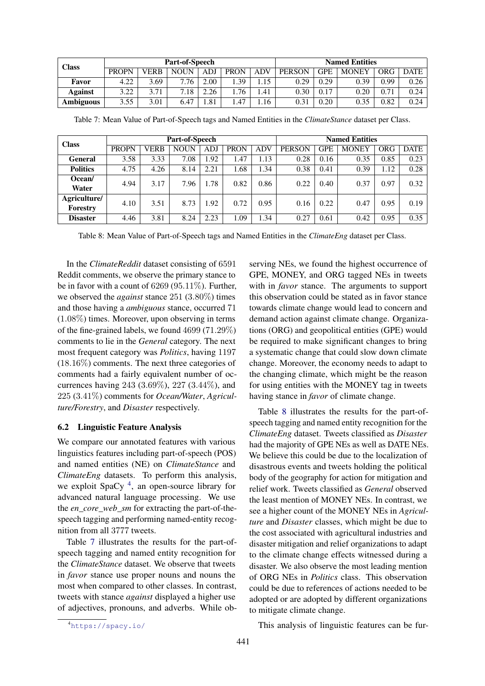<span id="page-7-1"></span>

| <b>Class</b>     |              | <b>Part-of-Speech</b> |             | <b>Named Entities</b> |             |            |               |            |              |            |             |
|------------------|--------------|-----------------------|-------------|-----------------------|-------------|------------|---------------|------------|--------------|------------|-------------|
|                  | <b>PROPN</b> | VERB                  | <b>NOUN</b> | ADJ                   | <b>PRON</b> | <b>ADV</b> | <b>PERSON</b> | <b>GPE</b> | <b>MONEY</b> | <b>ORG</b> | <b>DATE</b> |
| Favor            | 4.22         | 3.69                  | 7.76        | 2.00                  | .39         | 1.15       | 0.29          | 0.29       | 0.39         | 0.99       | 0.26        |
| Against          | 3.22         | 3.71                  | 7.18        | 2.26                  | .76         | .41        | 0.30          | 0.17       | $0.20\,$     | 0.71       | 0.24        |
| <b>Ambiguous</b> | 3.55         | 3.01                  | 6.47        | 1.81                  | 4.47        | 1.16       | 0.31          | 0.20       | 0.35         | 0.82       | 0.24        |

<span id="page-7-2"></span>

| <b>Class</b>    |              | Part-of-Speech |             | <b>Named Entities</b> |             |      |               |            |              |            |             |
|-----------------|--------------|----------------|-------------|-----------------------|-------------|------|---------------|------------|--------------|------------|-------------|
|                 | <b>PROPN</b> | <b>VERB</b>    | <b>NOUN</b> | ADJ                   | <b>PRON</b> | ADV  | <b>PERSON</b> | <b>GPE</b> | <b>MONEY</b> | <b>ORG</b> | <b>DATE</b> |
| <b>General</b>  | 3.58         | 3.33           | 7.08        | 1.92                  | 1.47        | 1.13 | 0.28          | 0.16       | 0.35         | 0.85       | 0.23        |
| <b>Politics</b> | 4.75         | 4.26           | 8.14        | 2.21                  | 1.68        | 1.34 | 0.38          | 0.41       | 0.39         | 1.12       | 0.28        |
| Ocean/          | 4.94         | 3.17           | 7.96        | 1.78                  | 0.82        | 0.86 | 0.22          | 0.40       | 0.37         | 0.97       | 0.32        |
| Water           |              |                |             |                       |             |      |               |            |              |            |             |
| Agriculture/    | 4.10         | 3.51           | 8.73        | 1.92                  | 0.72        | 0.95 | 0.16          | 0.22       | 0.47         | 0.95       | 0.19        |
| Forestry        |              |                |             |                       |             |      |               |            |              |            |             |
| <b>Disaster</b> | 4.46         | 3.81           | 8.24        | 2.23                  | 1.09        | 1.34 | 0.27          | 0.61       | 0.42         | 0.95       | 0.35        |

Table 8: Mean Value of Part-of-Speech tags and Named Entities in the *ClimateEng* dataset per Class.

In the *ClimateReddit* dataset consisting of 6591 Reddit comments, we observe the primary stance to be in favor with a count of 6269 (95.11%). Further, we observed the *against* stance 251 (3.80%) times and those having a *ambiguous* stance, occurred 71 (1.08%) times. Moreover, upon observing in terms of the fine-grained labels, we found 4699 (71.29%) comments to lie in the *General* category. The next most frequent category was *Politics*, having 1197 (18.16%) comments. The next three categories of comments had a fairly equivalent number of occurrences having 243 (3.69%), 227 (3.44%), and 225 (3.41%) comments for *Ocean/Water*, *Agriculture/Forestry*, and *Disaster* respectively.

### 6.2 Linguistic Feature Analysis

We compare our annotated features with various linguistics features including part-of-speech (POS) and named entities (NE) on *ClimateStance* and *ClimateEng* datasets. To perform this analysis, we exploit SpaCy<sup>[4](#page-7-0)</sup>, an open-source library for advanced natural language processing. We use the *en\_core\_web\_sm* for extracting the part-of-thespeech tagging and performing named-entity recognition from all 3777 tweets.

Table [7](#page-7-1) illustrates the results for the part-ofspeech tagging and named entity recognition for the *ClimateStance* dataset. We observe that tweets in *favor* stance use proper nouns and nouns the most when compared to other classes. In contrast, tweets with stance *against* displayed a higher use of adjectives, pronouns, and adverbs. While observing NEs, we found the highest occurrence of GPE, MONEY, and ORG tagged NEs in tweets with in *favor* stance. The arguments to support this observation could be stated as in favor stance towards climate change would lead to concern and demand action against climate change. Organizations (ORG) and geopolitical entities (GPE) would be required to make significant changes to bring a systematic change that could slow down climate change. Moreover, the economy needs to adapt to the changing climate, which might be the reason for using entities with the MONEY tag in tweets having stance in *favor* of climate change.

Table [8](#page-7-2) illustrates the results for the part-ofspeech tagging and named entity recognition for the *ClimateEng* dataset. Tweets classified as *Disaster* had the majority of GPE NEs as well as DATE NEs. We believe this could be due to the localization of disastrous events and tweets holding the political body of the geography for action for mitigation and relief work. Tweets classified as *General* observed the least mention of MONEY NEs. In contrast, we see a higher count of the MONEY NEs in *Agriculture* and *Disaster* classes, which might be due to the cost associated with agricultural industries and disaster mitigation and relief organizations to adapt to the climate change effects witnessed during a disaster. We also observe the most leading mention of ORG NEs in *Politics* class. This observation could be due to references of actions needed to be adopted or are adopted by different organizations to mitigate climate change.

This analysis of linguistic features can be fur-

<span id="page-7-0"></span><sup>4</sup><https://spacy.io/>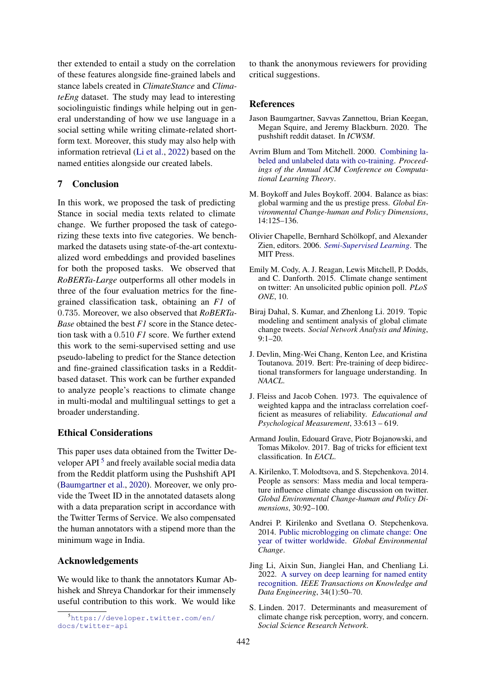ther extended to entail a study on the correlation of these features alongside fine-grained labels and stance labels created in *ClimateStance* and *ClimateEng* dataset. The study may lead to interesting sociolinguistic findings while helping out in general understanding of how we use language in a social setting while writing climate-related shortform text. Moreover, this study may also help with information retrieval [\(Li et al.,](#page-8-12) [2022\)](#page-8-12) based on the named entities alongside our created labels.

### 7 Conclusion

In this work, we proposed the task of predicting Stance in social media texts related to climate change. We further proposed the task of categorizing these texts into five categories. We benchmarked the datasets using state-of-the-art contextualized word embeddings and provided baselines for both the proposed tasks. We observed that *RoBERTa-Large* outperforms all other models in three of the four evaluation metrics for the finegrained classification task, obtaining an *F1* of 0.735. Moreover, we also observed that *RoBERTa-Base* obtained the best *F1* score in the Stance detection task with a 0.510 *F1* score. We further extend this work to the semi-supervised setting and use pseudo-labeling to predict for the Stance detection and fine-grained classification tasks in a Redditbased dataset. This work can be further expanded to analyze people's reactions to climate change in multi-modal and multilingual settings to get a broader understanding.

# Ethical Considerations

This paper uses data obtained from the Twitter De-veloper API<sup>[5](#page-8-13)</sup> and freely available social media data from the Reddit platform using the Pushshift API [\(Baumgartner et al.,](#page-8-6) [2020\)](#page-8-6). Moreover, we only provide the Tweet ID in the annotated datasets along with a data preparation script in accordance with the Twitter Terms of Service. We also compensated the human annotators with a stipend more than the minimum wage in India.

#### Acknowledgements

We would like to thank the annotators Kumar Abhishek and Shreya Chandorkar for their immensely useful contribution to this work. We would like

<span id="page-8-13"></span><sup>5</sup>[https://developer.twitter.com/en/](https://developer.twitter.com/en/docs/twitter-api) [docs/twitter-api](https://developer.twitter.com/en/docs/twitter-api)

to thank the anonymous reviewers for providing critical suggestions.

### References

- <span id="page-8-6"></span>Jason Baumgartner, Savvas Zannettou, Brian Keegan, Megan Squire, and Jeremy Blackburn. 2020. The pushshift reddit dataset. In *ICWSM*.
- <span id="page-8-7"></span>Avrim Blum and Tom Mitchell. 2000. [Combining la](https://doi.org/10.1145/279943.279962)[beled and unlabeled data with co-training.](https://doi.org/10.1145/279943.279962) *Proceedings of the Annual ACM Conference on Computational Learning Theory*.
- <span id="page-8-1"></span>M. Boykoff and Jules Boykoff. 2004. Balance as bias: global warming and the us prestige press. *Global Environmental Change-human and Policy Dimensions*, 14:125–136.
- <span id="page-8-8"></span>Olivier Chapelle, Bernhard Schölkopf, and Alexander Zien, editors. 2006. *[Semi-Supervised Learning](http://dblp.uni-trier.de/db/books/collections/CSZ2006.html)*. The MIT Press.
- <span id="page-8-4"></span>Emily M. Cody, A. J. Reagan, Lewis Mitchell, P. Dodds, and C. Danforth. 2015. Climate change sentiment on twitter: An unsolicited public opinion poll. *PLoS ONE*, 10.
- <span id="page-8-5"></span>Biraj Dahal, S. Kumar, and Zhenlong Li. 2019. Topic modeling and sentiment analysis of global climate change tweets. *Social Network Analysis and Mining*, 9:1–20.
- <span id="page-8-11"></span>J. Devlin, Ming-Wei Chang, Kenton Lee, and Kristina Toutanova. 2019. Bert: Pre-training of deep bidirectional transformers for language understanding. In *NAACL*.
- <span id="page-8-9"></span>J. Fleiss and Jacob Cohen. 1973. The equivalence of weighted kappa and the intraclass correlation coefficient as measures of reliability. *Educational and Psychological Measurement*, 33:613 – 619.
- <span id="page-8-10"></span>Armand Joulin, Edouard Grave, Piotr Bojanowski, and Tomas Mikolov. 2017. Bag of tricks for efficient text classification. In *EACL*.
- <span id="page-8-3"></span>A. Kirilenko, T. Molodtsova, and S. Stepchenkova. 2014. People as sensors: Mass media and local temperature influence climate change discussion on twitter. *Global Environmental Change-human and Policy Dimensions*, 30:92–100.
- <span id="page-8-2"></span>Andrei P. Kirilenko and Svetlana O. Stepchenkova. 2014. [Public microblogging on climate change: One](https://doi.org/10.1016/j.gloenvcha.2014.02.008) [year of twitter worldwide.](https://doi.org/10.1016/j.gloenvcha.2014.02.008) *Global Environmental Change*.
- <span id="page-8-12"></span>Jing Li, Aixin Sun, Jianglei Han, and Chenliang Li. 2022. [A survey on deep learning for named entity](https://doi.org/10.1109/TKDE.2020.2981314) [recognition.](https://doi.org/10.1109/TKDE.2020.2981314) *IEEE Transactions on Knowledge and Data Engineering*, 34(1):50–70.
- <span id="page-8-0"></span>S. Linden. 2017. Determinants and measurement of climate change risk perception, worry, and concern. *Social Science Research Network*.